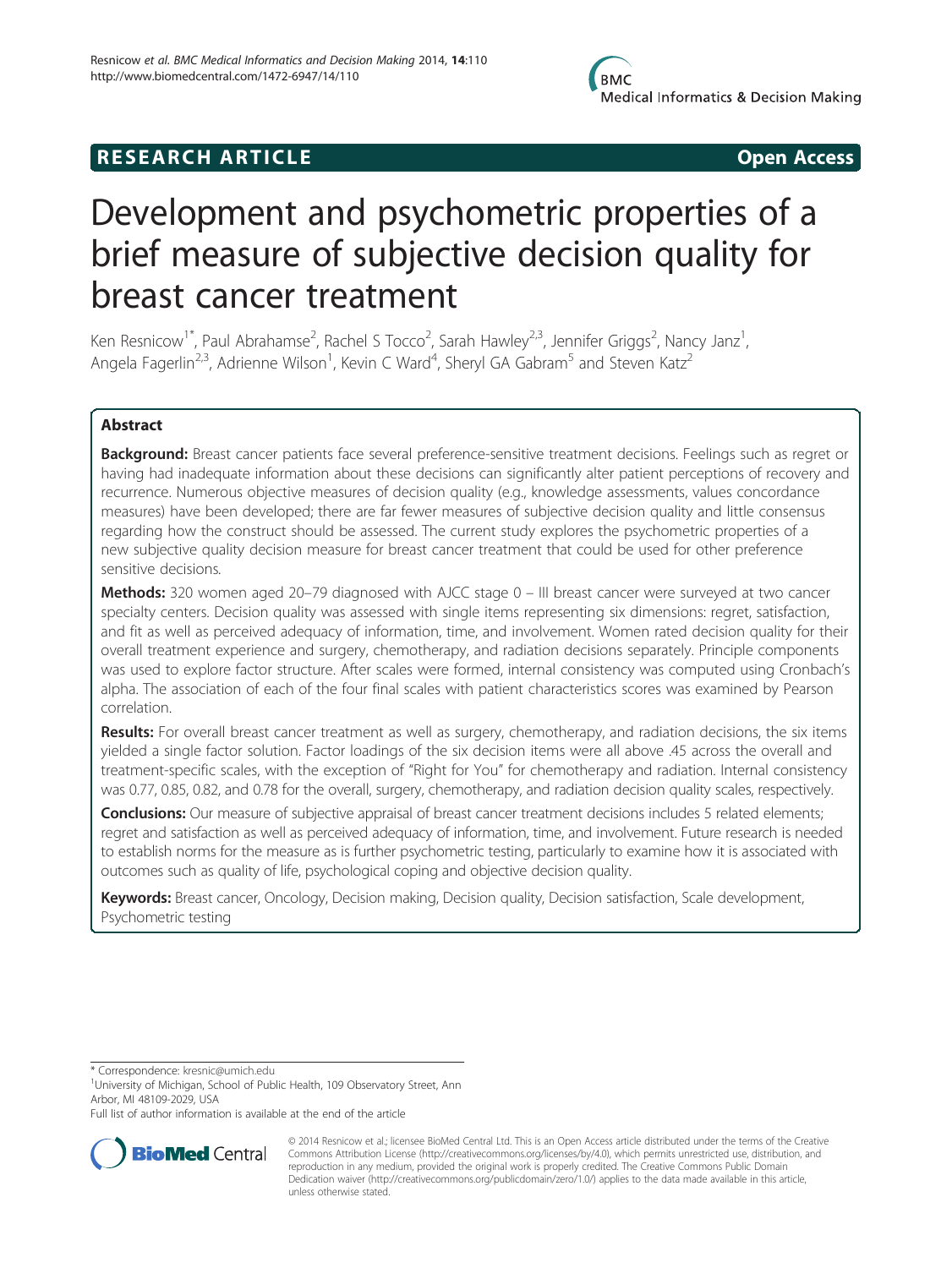# **RESEARCH ARTICLE Example 20 and 20 and 20 and 20 and 20 and 20 and 20 and 20 and 20 and 20 and 20 and 20 and 20 and 20 and 20 and 20 and 20 and 20 and 20 and 20 and 20 and 20 and 20 and 20 and 20 and 20 and 20 and 20 an**

# Development and psychometric properties of a brief measure of subjective decision quality for breast cancer treatment

Ken Resnicow<sup>1\*</sup>, Paul Abrahamse<sup>2</sup>, Rachel S Tocco<sup>2</sup>, Sarah Hawley<sup>2,3</sup>, Jennifer Griggs<sup>2</sup>, Nancy Janz<sup>1</sup> , Angela Fagerlin<sup>2,3</sup>, Adrienne Wilson<sup>1</sup>, Kevin C Ward<sup>4</sup>, Sheryl GA Gabram<sup>5</sup> and Steven Katz<sup>2</sup>

# Abstract

Background: Breast cancer patients face several preference-sensitive treatment decisions. Feelings such as regret or having had inadequate information about these decisions can significantly alter patient perceptions of recovery and recurrence. Numerous objective measures of decision quality (e.g., knowledge assessments, values concordance measures) have been developed; there are far fewer measures of subjective decision quality and little consensus regarding how the construct should be assessed. The current study explores the psychometric properties of a new subjective quality decision measure for breast cancer treatment that could be used for other preference sensitive decisions.

Methods: 320 women aged 20-79 diagnosed with AJCC stage 0 - III breast cancer were surveyed at two cancer specialty centers. Decision quality was assessed with single items representing six dimensions: regret, satisfaction, and fit as well as perceived adequacy of information, time, and involvement. Women rated decision quality for their overall treatment experience and surgery, chemotherapy, and radiation decisions separately. Principle components was used to explore factor structure. After scales were formed, internal consistency was computed using Cronbach's alpha. The association of each of the four final scales with patient characteristics scores was examined by Pearson correlation.

Results: For overall breast cancer treatment as well as surgery, chemotherapy, and radiation decisions, the six items yielded a single factor solution. Factor loadings of the six decision items were all above .45 across the overall and treatment-specific scales, with the exception of "Right for You" for chemotherapy and radiation. Internal consistency was 0.77, 0.85, 0.82, and 0.78 for the overall, surgery, chemotherapy, and radiation decision quality scales, respectively.

**Conclusions:** Our measure of subjective appraisal of breast cancer treatment decisions includes 5 related elements; regret and satisfaction as well as perceived adequacy of information, time, and involvement. Future research is needed to establish norms for the measure as is further psychometric testing, particularly to examine how it is associated with outcomes such as quality of life, psychological coping and objective decision quality.

Keywords: Breast cancer, Oncology, Decision making, Decision quality, Decision satisfaction, Scale development, Psychometric testing

\* Correspondence: [kresnic@umich.edu](mailto:kresnic@umich.edu) <sup>1</sup>

<sup>1</sup>University of Michigan, School of Public Health, 109 Observatory Street, Ann Arbor, MI 48109-2029, USA

Full list of author information is available at the end of the article



<sup>© 2014</sup> Resnicow et al.; licensee BioMed Central Ltd. This is an Open Access article distributed under the terms of the Creative Commons Attribution License [\(http://creativecommons.org/licenses/by/4.0\)](http://creativecommons.org/licenses/by/4.0), which permits unrestricted use, distribution, and reproduction in any medium, provided the original work is properly credited. The Creative Commons Public Domain Dedication waiver [\(http://creativecommons.org/publicdomain/zero/1.0/](http://creativecommons.org/publicdomain/zero/1.0/)) applies to the data made available in this article, unless otherwise stated.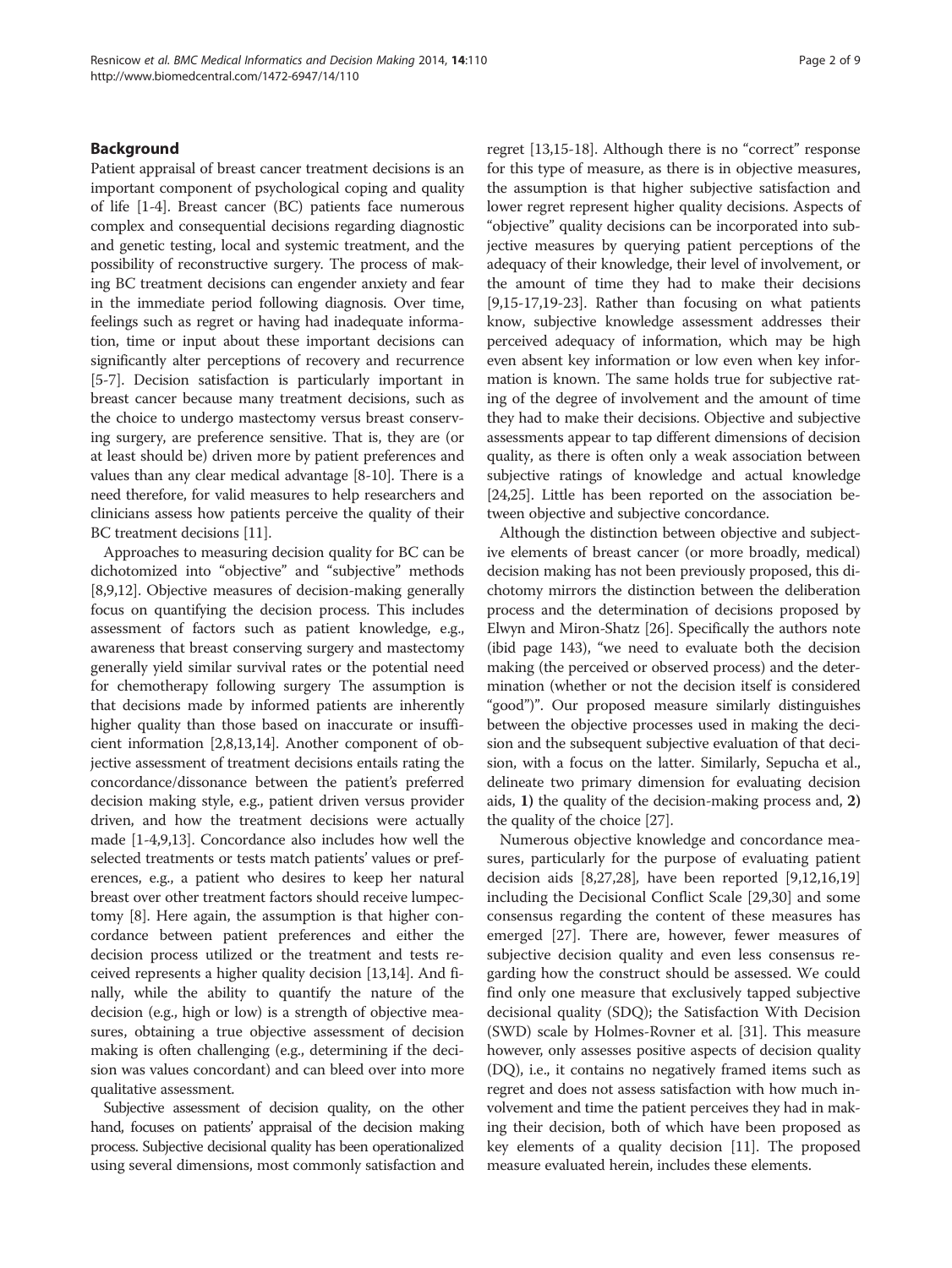# Background

Patient appraisal of breast cancer treatment decisions is an important component of psychological coping and quality of life [\[1](#page-7-0)-[4\]](#page-7-0). Breast cancer (BC) patients face numerous complex and consequential decisions regarding diagnostic and genetic testing, local and systemic treatment, and the possibility of reconstructive surgery. The process of making BC treatment decisions can engender anxiety and fear in the immediate period following diagnosis. Over time, feelings such as regret or having had inadequate information, time or input about these important decisions can significantly alter perceptions of recovery and recurrence [[5-7\]](#page-7-0). Decision satisfaction is particularly important in breast cancer because many treatment decisions, such as the choice to undergo mastectomy versus breast conserving surgery, are preference sensitive. That is, they are (or at least should be) driven more by patient preferences and values than any clear medical advantage [\[8-10\]](#page-7-0). There is a need therefore, for valid measures to help researchers and clinicians assess how patients perceive the quality of their BC treatment decisions [\[11\]](#page-7-0).

Approaches to measuring decision quality for BC can be dichotomized into "objective" and "subjective" methods [[8,9,12](#page-7-0)]. Objective measures of decision-making generally focus on quantifying the decision process. This includes assessment of factors such as patient knowledge, e.g., awareness that breast conserving surgery and mastectomy generally yield similar survival rates or the potential need for chemotherapy following surgery The assumption is that decisions made by informed patients are inherently higher quality than those based on inaccurate or insufficient information [\[2,8,13,14](#page-7-0)]. Another component of objective assessment of treatment decisions entails rating the concordance/dissonance between the patient's preferred decision making style, e.g., patient driven versus provider driven, and how the treatment decisions were actually made [\[1-4,9,13\]](#page-7-0). Concordance also includes how well the selected treatments or tests match patients' values or preferences, e.g., a patient who desires to keep her natural breast over other treatment factors should receive lumpectomy [\[8\]](#page-7-0). Here again, the assumption is that higher concordance between patient preferences and either the decision process utilized or the treatment and tests received represents a higher quality decision [\[13,14\]](#page-7-0). And finally, while the ability to quantify the nature of the decision (e.g., high or low) is a strength of objective measures, obtaining a true objective assessment of decision making is often challenging (e.g., determining if the decision was values concordant) and can bleed over into more qualitative assessment.

Subjective assessment of decision quality, on the other hand, focuses on patients' appraisal of the decision making process. Subjective decisional quality has been operationalized using several dimensions, most commonly satisfaction and regret [\[13,15-18\]](#page-7-0). Although there is no "correct" response for this type of measure, as there is in objective measures, the assumption is that higher subjective satisfaction and lower regret represent higher quality decisions. Aspects of "objective" quality decisions can be incorporated into subjective measures by querying patient perceptions of the adequacy of their knowledge, their level of involvement, or the amount of time they had to make their decisions [[9,15](#page-7-0)-[17,19](#page-7-0)-[23](#page-7-0)]. Rather than focusing on what patients know, subjective knowledge assessment addresses their perceived adequacy of information, which may be high even absent key information or low even when key information is known. The same holds true for subjective rating of the degree of involvement and the amount of time they had to make their decisions. Objective and subjective assessments appear to tap different dimensions of decision quality, as there is often only a weak association between subjective ratings of knowledge and actual knowledge [[24,25](#page-7-0)]. Little has been reported on the association between objective and subjective concordance.

Although the distinction between objective and subjective elements of breast cancer (or more broadly, medical) decision making has not been previously proposed, this dichotomy mirrors the distinction between the deliberation process and the determination of decisions proposed by Elwyn and Miron-Shatz [\[26](#page-7-0)]. Specifically the authors note (ibid page 143), "we need to evaluate both the decision making (the perceived or observed process) and the determination (whether or not the decision itself is considered "good")". Our proposed measure similarly distinguishes between the objective processes used in making the decision and the subsequent subjective evaluation of that decision, with a focus on the latter. Similarly, Sepucha et al., delineate two primary dimension for evaluating decision aids, 1) the quality of the decision-making process and, 2) the quality of the choice [[27](#page-7-0)].

Numerous objective knowledge and concordance measures, particularly for the purpose of evaluating patient decision aids [\[8,27,28](#page-7-0)], have been reported [[9,12](#page-7-0),[16](#page-7-0),[19](#page-7-0)] including the Decisional Conflict Scale [[29,30\]](#page-7-0) and some consensus regarding the content of these measures has emerged [\[27](#page-7-0)]. There are, however, fewer measures of subjective decision quality and even less consensus regarding how the construct should be assessed. We could find only one measure that exclusively tapped subjective decisional quality (SDQ); the Satisfaction With Decision (SWD) scale by Holmes-Rovner et al. [\[31\]](#page-7-0). This measure however, only assesses positive aspects of decision quality (DQ), i.e., it contains no negatively framed items such as regret and does not assess satisfaction with how much involvement and time the patient perceives they had in making their decision, both of which have been proposed as key elements of a quality decision [\[11\]](#page-7-0). The proposed measure evaluated herein, includes these elements.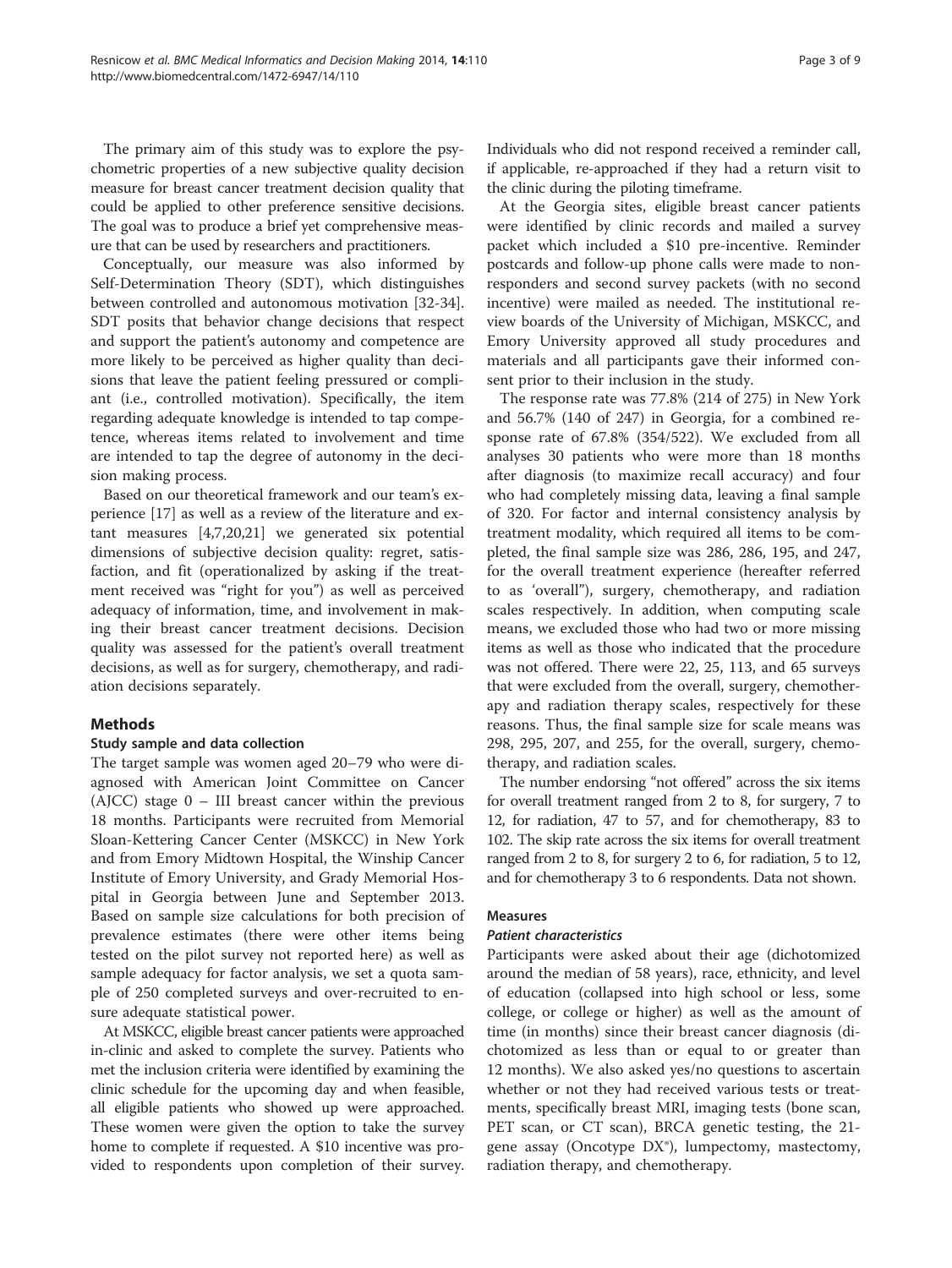The primary aim of this study was to explore the psychometric properties of a new subjective quality decision measure for breast cancer treatment decision quality that could be applied to other preference sensitive decisions. The goal was to produce a brief yet comprehensive measure that can be used by researchers and practitioners.

Conceptually, our measure was also informed by Self-Determination Theory (SDT), which distinguishes between controlled and autonomous motivation [\[32-34](#page-7-0)]. SDT posits that behavior change decisions that respect and support the patient's autonomy and competence are more likely to be perceived as higher quality than decisions that leave the patient feeling pressured or compliant (i.e., controlled motivation). Specifically, the item regarding adequate knowledge is intended to tap competence, whereas items related to involvement and time are intended to tap the degree of autonomy in the decision making process.

Based on our theoretical framework and our team's experience [\[17](#page-7-0)] as well as a review of the literature and extant measures [\[4,7,20,21](#page-7-0)] we generated six potential dimensions of subjective decision quality: regret, satisfaction, and fit (operationalized by asking if the treatment received was "right for you") as well as perceived adequacy of information, time, and involvement in making their breast cancer treatment decisions. Decision quality was assessed for the patient's overall treatment decisions, as well as for surgery, chemotherapy, and radiation decisions separately.

# **Methods**

# Study sample and data collection

The target sample was women aged 20–79 who were diagnosed with American Joint Committee on Cancer (AJCC) stage  $0 - III$  breast cancer within the previous 18 months. Participants were recruited from Memorial Sloan-Kettering Cancer Center (MSKCC) in New York and from Emory Midtown Hospital, the Winship Cancer Institute of Emory University, and Grady Memorial Hospital in Georgia between June and September 2013. Based on sample size calculations for both precision of prevalence estimates (there were other items being tested on the pilot survey not reported here) as well as sample adequacy for factor analysis, we set a quota sample of 250 completed surveys and over-recruited to ensure adequate statistical power.

At MSKCC, eligible breast cancer patients were approached in-clinic and asked to complete the survey. Patients who met the inclusion criteria were identified by examining the clinic schedule for the upcoming day and when feasible, all eligible patients who showed up were approached. These women were given the option to take the survey home to complete if requested. A \$10 incentive was provided to respondents upon completion of their survey. Individuals who did not respond received a reminder call, if applicable, re-approached if they had a return visit to the clinic during the piloting timeframe.

At the Georgia sites, eligible breast cancer patients were identified by clinic records and mailed a survey packet which included a \$10 pre-incentive. Reminder postcards and follow-up phone calls were made to nonresponders and second survey packets (with no second incentive) were mailed as needed. The institutional review boards of the University of Michigan, MSKCC, and Emory University approved all study procedures and materials and all participants gave their informed consent prior to their inclusion in the study.

The response rate was 77.8% (214 of 275) in New York and 56.7% (140 of 247) in Georgia, for a combined response rate of 67.8% (354/522). We excluded from all analyses 30 patients who were more than 18 months after diagnosis (to maximize recall accuracy) and four who had completely missing data, leaving a final sample of 320. For factor and internal consistency analysis by treatment modality, which required all items to be completed, the final sample size was 286, 286, 195, and 247, for the overall treatment experience (hereafter referred to as 'overall"), surgery, chemotherapy, and radiation scales respectively. In addition, when computing scale means, we excluded those who had two or more missing items as well as those who indicated that the procedure was not offered. There were 22, 25, 113, and 65 surveys that were excluded from the overall, surgery, chemotherapy and radiation therapy scales, respectively for these reasons. Thus, the final sample size for scale means was 298, 295, 207, and 255, for the overall, surgery, chemotherapy, and radiation scales.

The number endorsing "not offered" across the six items for overall treatment ranged from 2 to 8, for surgery, 7 to 12, for radiation, 47 to 57, and for chemotherapy, 83 to 102. The skip rate across the six items for overall treatment ranged from 2 to 8, for surgery 2 to 6, for radiation, 5 to 12, and for chemotherapy 3 to 6 respondents. Data not shown.

# Measures

### Patient characteristics

Participants were asked about their age (dichotomized around the median of 58 years), race, ethnicity, and level of education (collapsed into high school or less, some college, or college or higher) as well as the amount of time (in months) since their breast cancer diagnosis (dichotomized as less than or equal to or greater than 12 months). We also asked yes/no questions to ascertain whether or not they had received various tests or treatments, specifically breast MRI, imaging tests (bone scan, PET scan, or CT scan), BRCA genetic testing, the 21 gene assay (Oncotype DX®), lumpectomy, mastectomy, radiation therapy, and chemotherapy.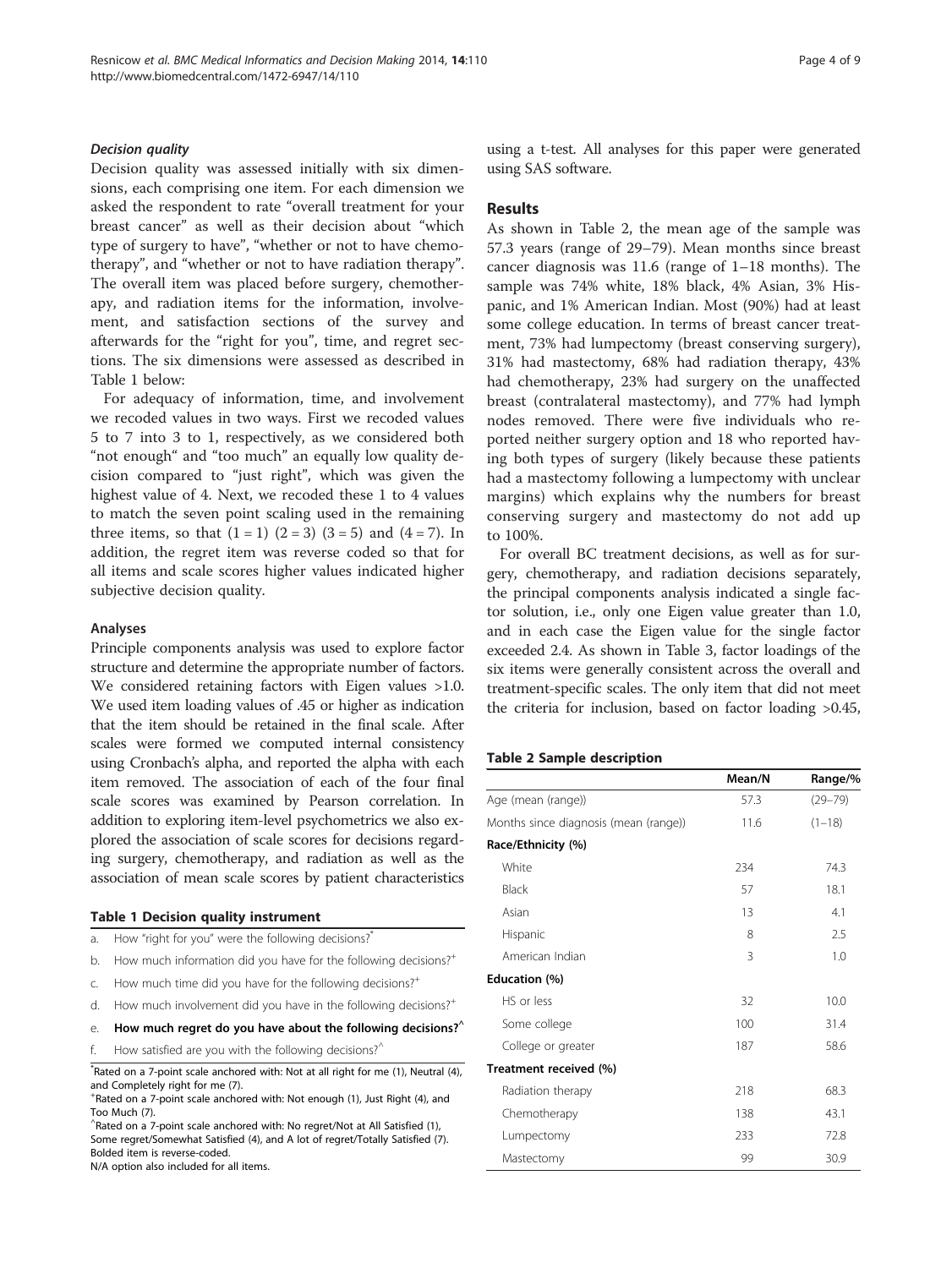#### Decision quality

Decision quality was assessed initially with six dimensions, each comprising one item. For each dimension we asked the respondent to rate "overall treatment for your breast cancer" as well as their decision about "which type of surgery to have", "whether or not to have chemotherapy", and "whether or not to have radiation therapy". The overall item was placed before surgery, chemotherapy, and radiation items for the information, involvement, and satisfaction sections of the survey and afterwards for the "right for you", time, and regret sections. The six dimensions were assessed as described in Table 1 below:

For adequacy of information, time, and involvement we recoded values in two ways. First we recoded values 5 to 7 into 3 to 1, respectively, as we considered both "not enough" and "too much" an equally low quality decision compared to "just right", which was given the highest value of 4. Next, we recoded these 1 to 4 values to match the seven point scaling used in the remaining three items, so that  $(1 = 1) (2 = 3) (3 = 5)$  and  $(4 = 7)$ . In addition, the regret item was reverse coded so that for all items and scale scores higher values indicated higher subjective decision quality.

#### Analyses

Principle components analysis was used to explore factor structure and determine the appropriate number of factors. We considered retaining factors with Eigen values >1.0. We used item loading values of .45 or higher as indication that the item should be retained in the final scale. After scales were formed we computed internal consistency using Cronbach's alpha, and reported the alpha with each item removed. The association of each of the four final scale scores was examined by Pearson correlation. In addition to exploring item-level psychometrics we also explored the association of scale scores for decisions regarding surgery, chemotherapy, and radiation as well as the association of mean scale scores by patient characteristics

#### Table 1 Decision quality instrument

| a. | How "right for you" were the following decisions?"                          |
|----|-----------------------------------------------------------------------------|
| b. | How much information did you have for the following decisions? <sup>+</sup> |
| C. | How much time did you have for the following decisions? <sup>+</sup>        |
| d. | How much involvement did you have in the following decisions? <sup>+</sup>  |
|    |                                                                             |
| e. | How much regret do you have about the following decisions?                  |
| f. | How satisfied are you with the following decisions? <sup>^</sup>            |

Too Much (7).

^ Rated on a 7-point scale anchored with: No regret/Not at All Satisfied (1), Some regret/Somewhat Satisfied (4), and A lot of regret/Totally Satisfied (7). Bolded item is reverse-coded.

N/A option also included for all items.

using a t-test. All analyses for this paper were generated using SAS software.

# Results

As shown in Table 2, the mean age of the sample was 57.3 years (range of 29–79). Mean months since breast cancer diagnosis was 11.6 (range of 1–18 months). The sample was 74% white, 18% black, 4% Asian, 3% Hispanic, and 1% American Indian. Most (90%) had at least some college education. In terms of breast cancer treatment, 73% had lumpectomy (breast conserving surgery), 31% had mastectomy, 68% had radiation therapy, 43% had chemotherapy, 23% had surgery on the unaffected breast (contralateral mastectomy), and 77% had lymph nodes removed. There were five individuals who reported neither surgery option and 18 who reported having both types of surgery (likely because these patients had a mastectomy following a lumpectomy with unclear margins) which explains why the numbers for breast conserving surgery and mastectomy do not add up to 100%.

For overall BC treatment decisions, as well as for surgery, chemotherapy, and radiation decisions separately, the principal components analysis indicated a single factor solution, i.e., only one Eigen value greater than 1.0, and in each case the Eigen value for the single factor exceeded 2.4. As shown in Table [3](#page-4-0), factor loadings of the six items were generally consistent across the overall and treatment-specific scales. The only item that did not meet the criteria for inclusion, based on factor loading >0.45,

#### Table 2 Sample description

|                                               | Mean/N | Range/%     |
|-----------------------------------------------|--------|-------------|
| Age (mean (range))                            | 57.3   | $(29 - 79)$ |
| 11.6<br>Months since diagnosis (mean (range)) |        | $(1-18)$    |
| Race/Ethnicity (%)                            |        |             |
| White                                         | 234    | 74.3        |
| <b>Black</b>                                  | 57     | 18.1        |
| Asian                                         | 13     | 4.1         |
| Hispanic                                      | 8      | 2.5         |
| American Indian                               | 3      | 1.0         |
| Education (%)                                 |        |             |
| HS or less                                    | 32     | 10.0        |
| Some college                                  | 100    | 31.4        |
| College or greater                            | 187    | 58.6        |
| Treatment received (%)                        |        |             |
| Radiation therapy                             | 218    | 68.3        |
| Chemotherapy                                  | 138    | 43.1        |
| Lumpectomy                                    | 233    | 72.8        |
| Mastectomy                                    | 99     | 30.9        |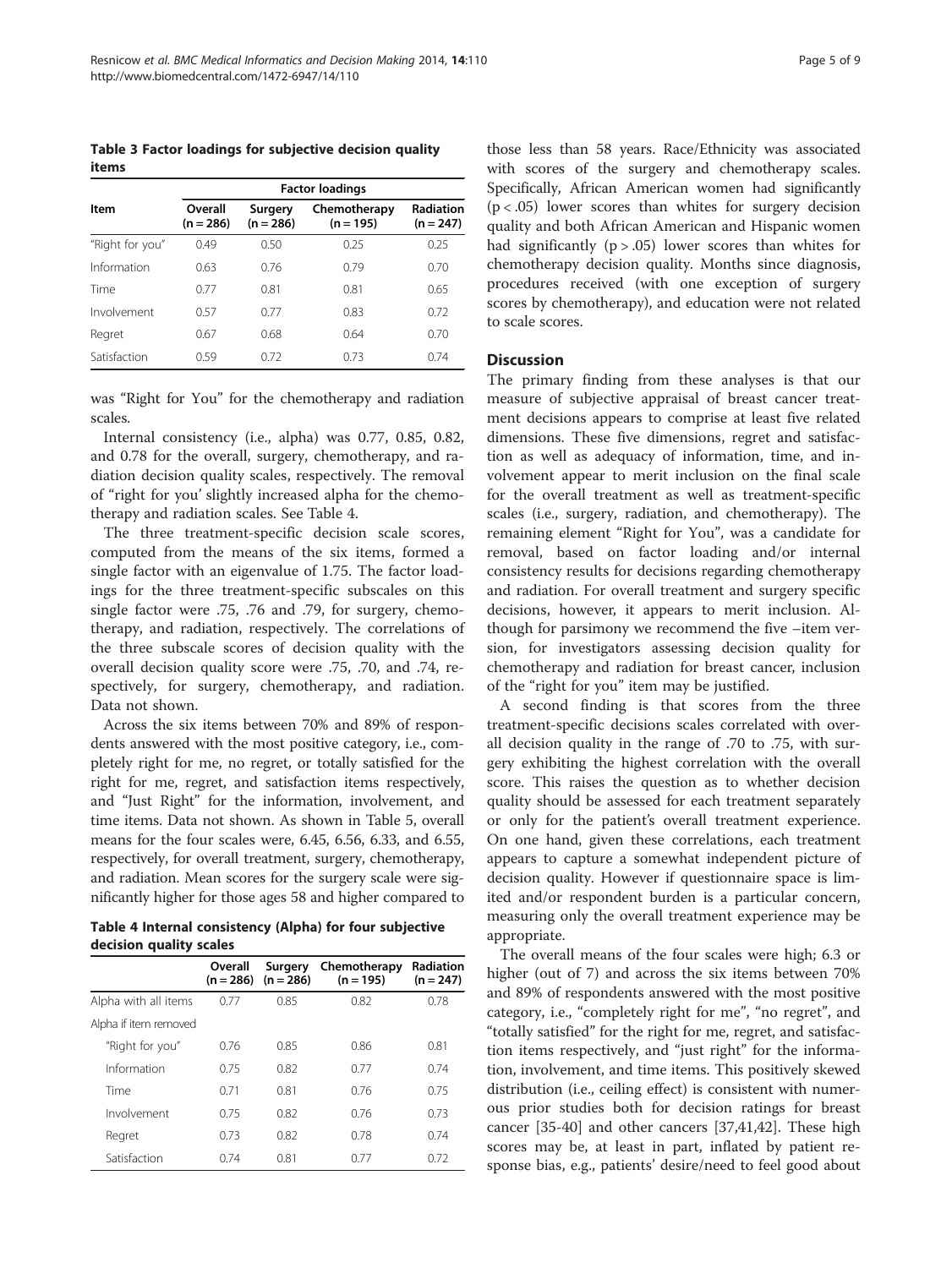<span id="page-4-0"></span>Table 3 Factor loadings for subjective decision quality items

|                 | <b>Factor loadings</b> |                        |                             |                                 |  |  |
|-----------------|------------------------|------------------------|-----------------------------|---------------------------------|--|--|
| ltem            | Overall<br>$(n = 286)$ | Surgery<br>$(n = 286)$ | Chemotherapy<br>$(n = 195)$ | <b>Radiation</b><br>$(n = 247)$ |  |  |
| "Right for you" | 0.49                   | 0.50                   | 0.25                        | 0.25                            |  |  |
| Information     | 0.63                   | 0.76                   | 0.79                        | 0.70                            |  |  |
| Time            | 0.77                   | 0.81                   | 0.81                        | 0.65                            |  |  |
| Involvement     | 057                    | 0.77                   | 0.83                        | 0.72                            |  |  |
| Regret          | 0.67                   | 0.68                   | 0.64                        | 0.70                            |  |  |
| Satisfaction    | በ 59                   | 0.72                   | 0.73                        | 0.74                            |  |  |

was "Right for You" for the chemotherapy and radiation scales.

Internal consistency (i.e., alpha) was 0.77, 0.85, 0.82, and 0.78 for the overall, surgery, chemotherapy, and radiation decision quality scales, respectively. The removal of "right for you' slightly increased alpha for the chemotherapy and radiation scales. See Table 4.

The three treatment-specific decision scale scores, computed from the means of the six items, formed a single factor with an eigenvalue of 1.75. The factor loadings for the three treatment-specific subscales on this single factor were .75, .76 and .79, for surgery, chemotherapy, and radiation, respectively. The correlations of the three subscale scores of decision quality with the overall decision quality score were .75, .70, and .74, respectively, for surgery, chemotherapy, and radiation. Data not shown.

Across the six items between 70% and 89% of respondents answered with the most positive category, i.e., completely right for me, no regret, or totally satisfied for the right for me, regret, and satisfaction items respectively, and "Just Right" for the information, involvement, and time items. Data not shown. As shown in Table [5,](#page-5-0) overall means for the four scales were, 6.45, 6.56, 6.33, and 6.55, respectively, for overall treatment, surgery, chemotherapy, and radiation. Mean scores for the surgery scale were significantly higher for those ages 58 and higher compared to

Table 4 Internal consistency (Alpha) for four subjective decision quality scales

|                       | Overall<br>$(n = 286)$ | Surgery<br>$(n = 286)$ | Chemotherapy<br>$(n = 195)$ | <b>Radiation</b><br>$(n = 247)$ |
|-----------------------|------------------------|------------------------|-----------------------------|---------------------------------|
| Alpha with all items  | 0.77                   | 0.85                   | 0.82                        | 0.78                            |
| Alpha if item removed |                        |                        |                             |                                 |
| "Right for you"       | 0.76                   | 0.85                   | 0.86                        | 0.81                            |
| Information           | 0.75                   | 0.82                   | 0.77                        | 0.74                            |
| Time                  | 071                    | 0.81                   | 0.76                        | 0.75                            |
| Involvement           | 0.75                   | 0.82                   | 0.76                        | 0.73                            |
| Regret                | 0.73                   | 0.82                   | 0.78                        | 0.74                            |
| Satisfaction          | 0.74                   | 0.81                   | 0.77                        | 0.72                            |

those less than 58 years. Race/Ethnicity was associated with scores of the surgery and chemotherapy scales. Specifically, African American women had significantly (p < .05) lower scores than whites for surgery decision quality and both African American and Hispanic women had significantly  $(p > .05)$  lower scores than whites for chemotherapy decision quality. Months since diagnosis, procedures received (with one exception of surgery scores by chemotherapy), and education were not related

# **Discussion**

to scale scores.

The primary finding from these analyses is that our measure of subjective appraisal of breast cancer treatment decisions appears to comprise at least five related dimensions. These five dimensions, regret and satisfaction as well as adequacy of information, time, and involvement appear to merit inclusion on the final scale for the overall treatment as well as treatment-specific scales (i.e., surgery, radiation, and chemotherapy). The remaining element "Right for You", was a candidate for removal, based on factor loading and/or internal consistency results for decisions regarding chemotherapy and radiation. For overall treatment and surgery specific decisions, however, it appears to merit inclusion. Although for parsimony we recommend the five –item version, for investigators assessing decision quality for chemotherapy and radiation for breast cancer, inclusion of the "right for you" item may be justified.

A second finding is that scores from the three treatment-specific decisions scales correlated with overall decision quality in the range of .70 to .75, with surgery exhibiting the highest correlation with the overall score. This raises the question as to whether decision quality should be assessed for each treatment separately or only for the patient's overall treatment experience. On one hand, given these correlations, each treatment appears to capture a somewhat independent picture of decision quality. However if questionnaire space is limited and/or respondent burden is a particular concern, measuring only the overall treatment experience may be appropriate.

The overall means of the four scales were high; 6.3 or higher (out of 7) and across the six items between 70% and 89% of respondents answered with the most positive category, i.e., "completely right for me", "no regret", and "totally satisfied" for the right for me, regret, and satisfaction items respectively, and "just right" for the information, involvement, and time items. This positively skewed distribution (i.e., ceiling effect) is consistent with numerous prior studies both for decision ratings for breast cancer [\[35](#page-7-0)-[40](#page-8-0)] and other cancers [[37,41,42\]](#page-8-0). These high scores may be, at least in part, inflated by patient response bias, e.g., patients' desire/need to feel good about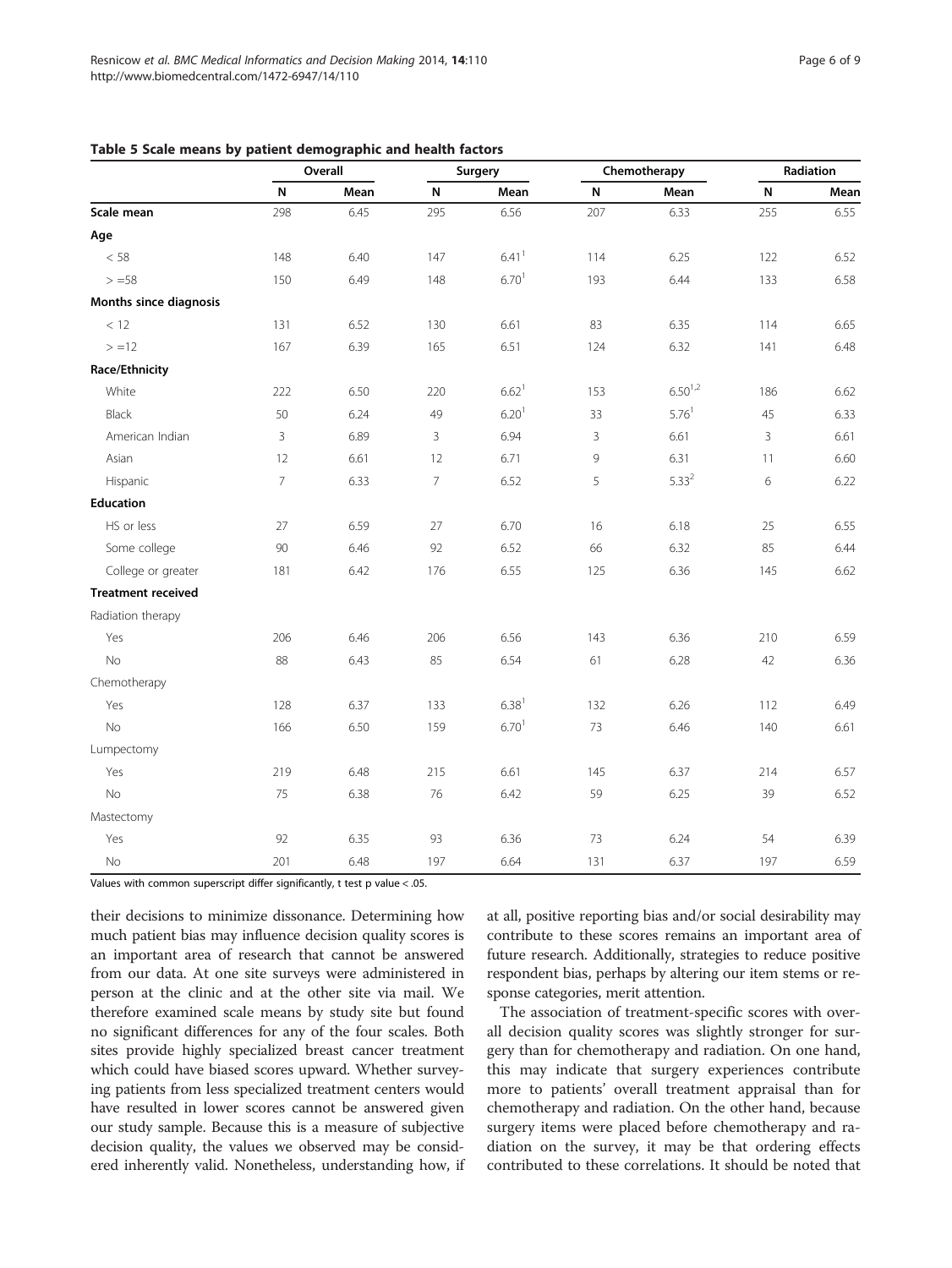<span id="page-5-0"></span>

|  |  |  | Table 5 Scale means by patient demographic and health factors |  |  |  |
|--|--|--|---------------------------------------------------------------|--|--|--|
|--|--|--|---------------------------------------------------------------|--|--|--|

| Overall<br>Surgery                                           | Chemotherapy   |                   | Radiation |      |
|--------------------------------------------------------------|----------------|-------------------|-----------|------|
| N<br>Mean<br>Mean<br>N                                       | N              | Mean              | N         | Mean |
| 6.45<br>6.56<br>Scale mean<br>298<br>295                     | 207            | 6.33              | 255       | 6.55 |
| Age                                                          |                |                   |           |      |
| 6.41 <sup>1</sup><br>< 58<br>148<br>6.40<br>147              | 114            | 6.25              | 122       | 6.52 |
| 148<br>6.70 <sup>1</sup><br>$> = 58$<br>150<br>6.49          | 193            | 6.44              | 133       | 6.58 |
| Months since diagnosis                                       |                |                   |           |      |
| < 12<br>6.61<br>131<br>6.52<br>130                           | 83             | 6.35              | 114       | 6.65 |
| 6.39<br>165<br>6.51<br>$> = 12$<br>167                       | 124            | 6.32              | 141       | 6.48 |
| Race/Ethnicity                                               |                |                   |           |      |
| 6.62 <sup>1</sup><br>White<br>222<br>6.50<br>220             | 153            | $6.50^{1,2}$      | 186       | 6.62 |
| 50<br>6.20 <sup>1</sup><br>Black<br>6.24<br>49               | 33             | 5.76 <sup>1</sup> | 45        | 6.33 |
| American Indian<br>3<br>6.89<br>3<br>6.94                    | $\overline{3}$ | 6.61              | 3         | 6.61 |
| 6.71<br>Asian<br>12<br>6.61<br>12                            | 9              | 6.31              | 11        | 6.60 |
| $\overline{7}$<br>$\overline{7}$<br>6.52<br>Hispanic<br>6.33 | 5              | $5.33^{2}$        | 6         | 6.22 |
| <b>Education</b>                                             |                |                   |           |      |
| HS or less<br>6.59<br>27<br>27<br>6.70                       | 16             | 6.18              | 25        | 6.55 |
| 92<br>Some college<br>90<br>6.46<br>6.52                     | 66             | 6.32              | 85        | 6.44 |
| College or greater<br>181<br>6.42<br>176<br>6.55             | 125            | 6.36              | 145       | 6.62 |
| <b>Treatment received</b>                                    |                |                   |           |      |
| Radiation therapy                                            |                |                   |           |      |
| Yes<br>206<br>206<br>6.46<br>6.56                            | 143            | 6.36              | 210       | 6.59 |
| No<br>85<br>88<br>6.43<br>6.54                               | 61             | 6.28              | 42        | 6.36 |
| Chemotherapy                                                 |                |                   |           |      |
| 6.38 <sup>1</sup><br>Yes<br>6.37<br>128<br>133               | 132            | 6.26              | 112       | 6.49 |
| 6.70 <sup>1</sup><br><b>No</b><br>6.50<br>159<br>166         | 73             | 6.46              | 140       | 6.61 |
| Lumpectomy                                                   |                |                   |           |      |
| Yes<br>6.48<br>215<br>6.61<br>219                            | 145            | 6.37              | 214       | 6.57 |
| No<br>75<br>6.38<br>76<br>6.42                               | 59             | 6.25              | 39        | 6.52 |
| Mastectomy                                                   |                |                   |           |      |
| Yes<br>92<br>6.35<br>93<br>6.36                              | 73             | 6.24              | 54        | 6.39 |
| No<br>201<br>6.48<br>197<br>6.64                             | 131            | 6.37              | 197       | 6.59 |

Values with common superscript differ significantly, t test p value < .05.

their decisions to minimize dissonance. Determining how much patient bias may influence decision quality scores is an important area of research that cannot be answered from our data. At one site surveys were administered in person at the clinic and at the other site via mail. We therefore examined scale means by study site but found no significant differences for any of the four scales. Both sites provide highly specialized breast cancer treatment which could have biased scores upward. Whether surveying patients from less specialized treatment centers would have resulted in lower scores cannot be answered given our study sample. Because this is a measure of subjective decision quality, the values we observed may be considered inherently valid. Nonetheless, understanding how, if at all, positive reporting bias and/or social desirability may contribute to these scores remains an important area of future research. Additionally, strategies to reduce positive respondent bias, perhaps by altering our item stems or response categories, merit attention.

The association of treatment-specific scores with overall decision quality scores was slightly stronger for surgery than for chemotherapy and radiation. On one hand, this may indicate that surgery experiences contribute more to patients' overall treatment appraisal than for chemotherapy and radiation. On the other hand, because surgery items were placed before chemotherapy and radiation on the survey, it may be that ordering effects contributed to these correlations. It should be noted that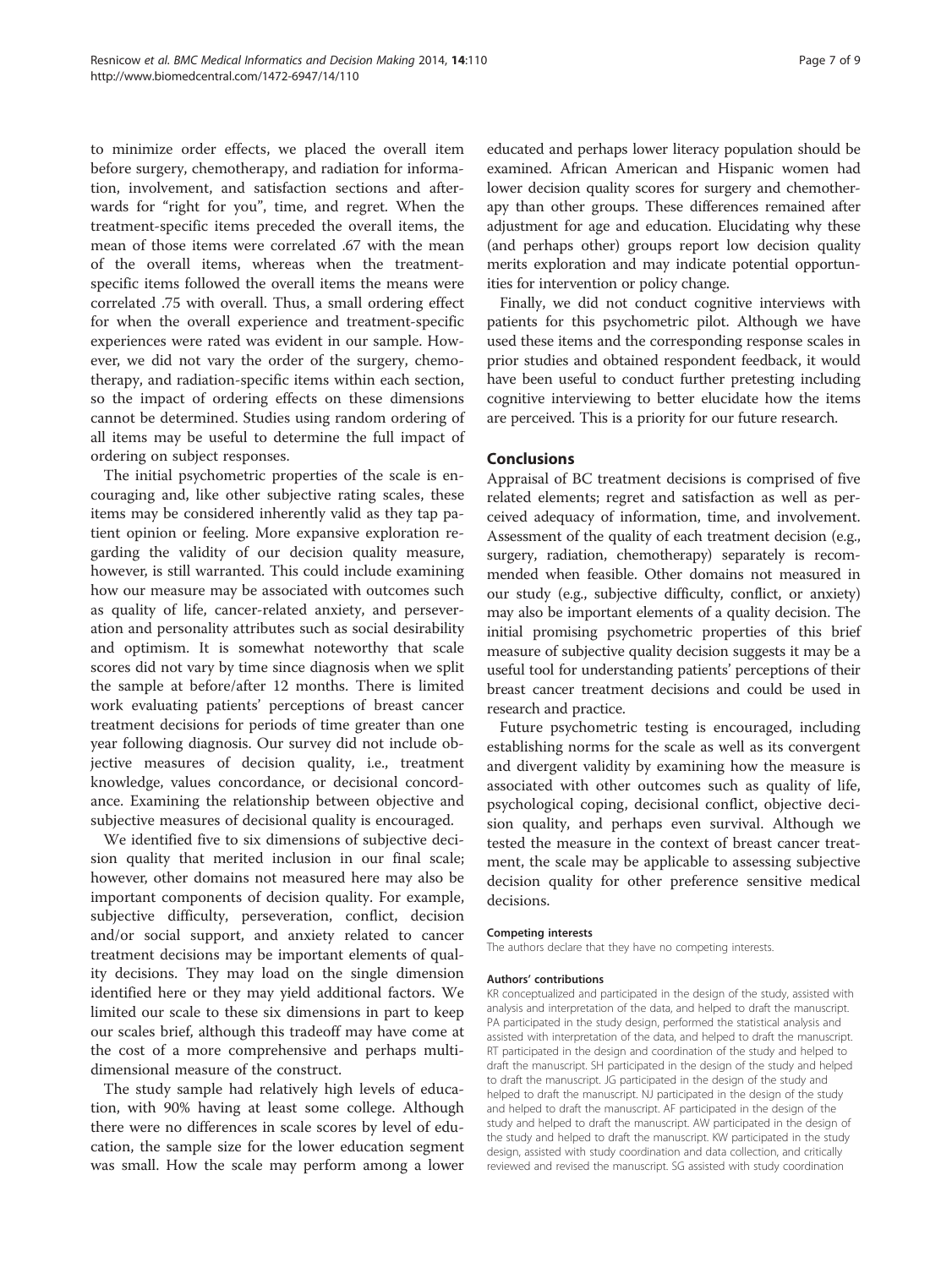to minimize order effects, we placed the overall item before surgery, chemotherapy, and radiation for information, involvement, and satisfaction sections and afterwards for "right for you", time, and regret. When the treatment-specific items preceded the overall items, the mean of those items were correlated .67 with the mean of the overall items, whereas when the treatmentspecific items followed the overall items the means were correlated .75 with overall. Thus, a small ordering effect for when the overall experience and treatment-specific experiences were rated was evident in our sample. However, we did not vary the order of the surgery, chemotherapy, and radiation-specific items within each section, so the impact of ordering effects on these dimensions cannot be determined. Studies using random ordering of all items may be useful to determine the full impact of ordering on subject responses.

The initial psychometric properties of the scale is encouraging and, like other subjective rating scales, these items may be considered inherently valid as they tap patient opinion or feeling. More expansive exploration regarding the validity of our decision quality measure, however, is still warranted. This could include examining how our measure may be associated with outcomes such as quality of life, cancer-related anxiety, and perseveration and personality attributes such as social desirability and optimism. It is somewhat noteworthy that scale scores did not vary by time since diagnosis when we split the sample at before/after 12 months. There is limited work evaluating patients' perceptions of breast cancer treatment decisions for periods of time greater than one year following diagnosis. Our survey did not include objective measures of decision quality, i.e., treatment knowledge, values concordance, or decisional concordance. Examining the relationship between objective and subjective measures of decisional quality is encouraged.

We identified five to six dimensions of subjective decision quality that merited inclusion in our final scale; however, other domains not measured here may also be important components of decision quality. For example, subjective difficulty, perseveration, conflict, decision and/or social support, and anxiety related to cancer treatment decisions may be important elements of quality decisions. They may load on the single dimension identified here or they may yield additional factors. We limited our scale to these six dimensions in part to keep our scales brief, although this tradeoff may have come at the cost of a more comprehensive and perhaps multidimensional measure of the construct.

The study sample had relatively high levels of education, with 90% having at least some college. Although there were no differences in scale scores by level of education, the sample size for the lower education segment was small. How the scale may perform among a lower

educated and perhaps lower literacy population should be examined. African American and Hispanic women had lower decision quality scores for surgery and chemotherapy than other groups. These differences remained after adjustment for age and education. Elucidating why these (and perhaps other) groups report low decision quality merits exploration and may indicate potential opportunities for intervention or policy change.

Finally, we did not conduct cognitive interviews with patients for this psychometric pilot. Although we have used these items and the corresponding response scales in prior studies and obtained respondent feedback, it would have been useful to conduct further pretesting including cognitive interviewing to better elucidate how the items are perceived. This is a priority for our future research.

# Conclusions

Appraisal of BC treatment decisions is comprised of five related elements; regret and satisfaction as well as perceived adequacy of information, time, and involvement. Assessment of the quality of each treatment decision (e.g., surgery, radiation, chemotherapy) separately is recommended when feasible. Other domains not measured in our study (e.g., subjective difficulty, conflict, or anxiety) may also be important elements of a quality decision. The initial promising psychometric properties of this brief measure of subjective quality decision suggests it may be a useful tool for understanding patients' perceptions of their breast cancer treatment decisions and could be used in research and practice.

Future psychometric testing is encouraged, including establishing norms for the scale as well as its convergent and divergent validity by examining how the measure is associated with other outcomes such as quality of life, psychological coping, decisional conflict, objective decision quality, and perhaps even survival. Although we tested the measure in the context of breast cancer treatment, the scale may be applicable to assessing subjective decision quality for other preference sensitive medical decisions.

#### Competing interests

The authors declare that they have no competing interests.

#### Authors' contributions

KR conceptualized and participated in the design of the study, assisted with analysis and interpretation of the data, and helped to draft the manuscript. PA participated in the study design, performed the statistical analysis and assisted with interpretation of the data, and helped to draft the manuscript. RT participated in the design and coordination of the study and helped to draft the manuscript. SH participated in the design of the study and helped to draft the manuscript. JG participated in the design of the study and helped to draft the manuscript. NJ participated in the design of the study and helped to draft the manuscript. AF participated in the design of the study and helped to draft the manuscript. AW participated in the design of the study and helped to draft the manuscript. KW participated in the study design, assisted with study coordination and data collection, and critically reviewed and revised the manuscript. SG assisted with study coordination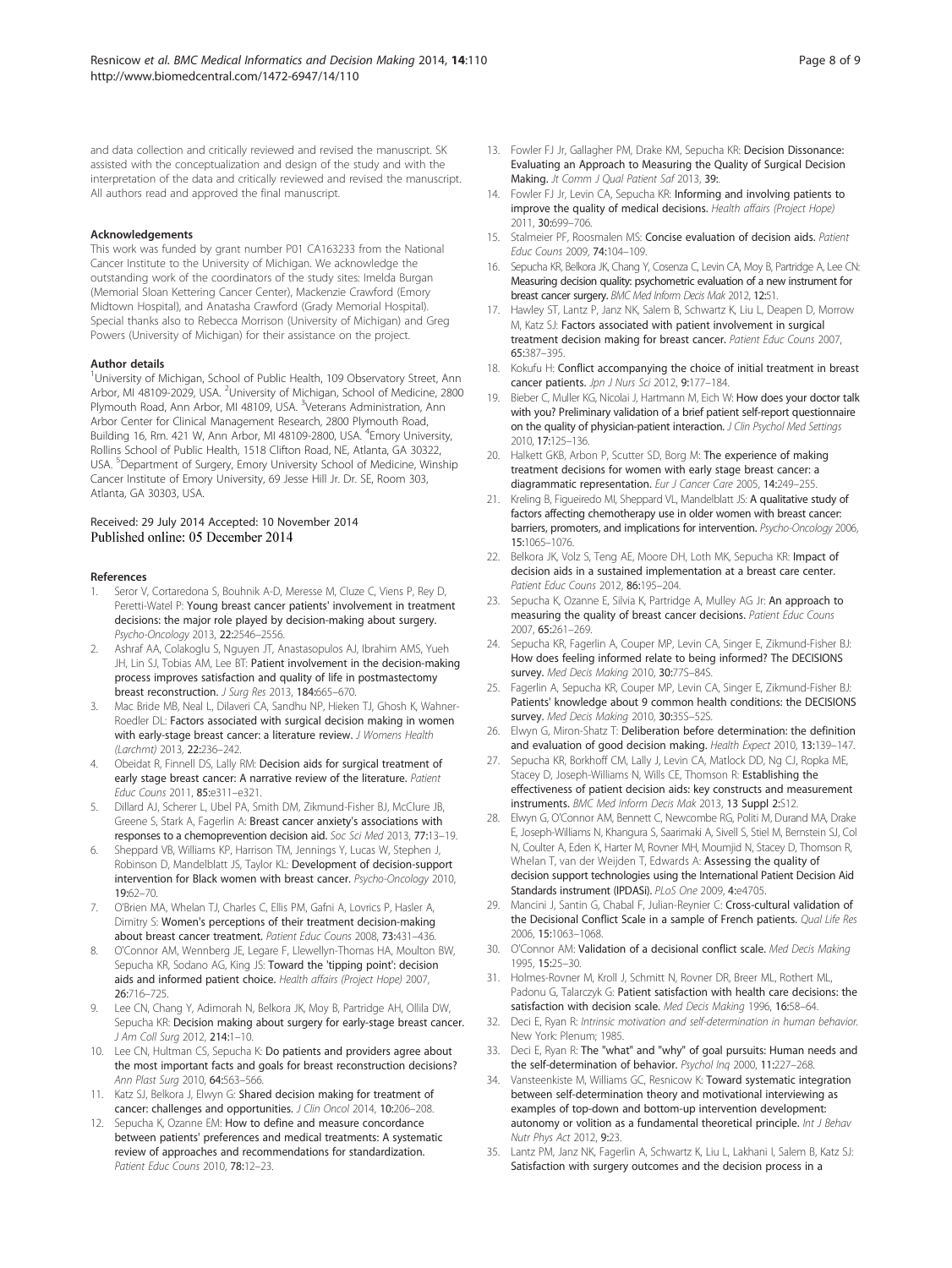<span id="page-7-0"></span>assisted with the conceptualization and design of the study and with the interpretation of the data and critically reviewed and revised the manuscript. All authors read and approved the final manuscript.

#### Acknowledgements

This work was funded by grant number P01 CA163233 from the National Cancer Institute to the University of Michigan. We acknowledge the outstanding work of the coordinators of the study sites: Imelda Burgan (Memorial Sloan Kettering Cancer Center), Mackenzie Crawford (Emory Midtown Hospital), and Anatasha Crawford (Grady Memorial Hospital). Special thanks also to Rebecca Morrison (University of Michigan) and Greg Powers (University of Michigan) for their assistance on the project.

#### Author details

<sup>1</sup>University of Michigan, School of Public Health, 109 Observatory Street, Ann Arbor, MI 48109-2029, USA. <sup>2</sup>University of Michigan, School of Medicine, 2800 Plymouth Road, Ann Arbor, MI 48109, USA. <sup>3</sup>Veterans Administration, Ann Arbor Center for Clinical Management Research, 2800 Plymouth Road, Building 16, Rm. 421 W, Ann Arbor, MI 48109-2800, USA. <sup>4</sup>Emory University, Rollins School of Public Health, 1518 Clifton Road, NE, Atlanta, GA 30322, USA. <sup>5</sup>Department of Surgery, Emory University School of Medicine, Winship Cancer Institute of Emory University, 69 Jesse Hill Jr. Dr. SE, Room 303, Atlanta, GA 30303, USA.

#### Received: 29 July 2014 Accepted: 10 November 2014 Published online: 05 December 2014

#### References

- Seror V, Cortaredona S, Bouhnik A-D, Meresse M, Cluze C, Viens P, Rey D, Peretti-Watel P: Young breast cancer patients' involvement in treatment decisions: the major role played by decision-making about surgery. Psycho-Oncology 2013, 22:2546–2556.
- 2. Ashraf AA, Colakoglu S, Nguyen JT, Anastasopulos AJ, Ibrahim AMS, Yueh JH, Lin SJ, Tobias AM, Lee BT: Patient involvement in the decision-making process improves satisfaction and quality of life in postmastectomy breast reconstruction. J Surg Res 2013, 184:665–670.
- Mac Bride MB, Neal L, Dilaveri CA, Sandhu NP, Hieken TJ, Ghosh K, Wahner-Roedler DL: Factors associated with surgical decision making in women with early-stage breast cancer: a literature review. J Womens Health (Larchmt) 2013, 22:236–242.
- 4. Obeidat R, Finnell DS, Lally RM: Decision aids for surgical treatment of early stage breast cancer: A narrative review of the literature. Patient Educ Couns 2011, 85:e311–e321.
- 5. Dillard AJ, Scherer L, Ubel PA, Smith DM, Zikmund-Fisher BJ, McClure JB, Greene S, Stark A, Fagerlin A: Breast cancer anxiety's associations with responses to a chemoprevention decision aid. Soc Sci Med 2013, 77:13–19.
- Sheppard VB, Williams KP, Harrison TM, Jennings Y, Lucas W, Stephen J, Robinson D, Mandelblatt JS, Taylor KL: Development of decision-support intervention for Black women with breast cancer. Psycho-Oncology 2010, 19:62–70.
- 7. O'Brien MA, Whelan TJ, Charles C, Ellis PM, Gafni A, Lovrics P, Hasler A, Dimitry S: Women's perceptions of their treatment decision-making about breast cancer treatment. Patient Educ Couns 2008, 73:431–436.
- 8. O'Connor AM, Wennberg JE, Legare F, Llewellyn-Thomas HA, Moulton BW, Sepucha KR, Sodano AG, King JS: Toward the 'tipping point': decision aids and informed patient choice. Health affairs (Project Hope) 2007, 26:716–725.
- Lee CN, Chang Y, Adimorah N, Belkora JK, Moy B, Partridge AH, Ollila DW, Sepucha KR: Decision making about surgery for early-stage breast cancer. J Am Coll Surg 2012, 214:1–10.
- 10. Lee CN, Hultman CS, Sepucha K: Do patients and providers agree about the most important facts and goals for breast reconstruction decisions? Ann Plast Surg 2010, 64:563-566.
- 11. Katz SJ, Belkora J, Elwyn G: Shared decision making for treatment of cancer: challenges and opportunities. J Clin Oncol 2014, 10:206–208.
- 12. Sepucha K, Ozanne EM: How to define and measure concordance between patients' preferences and medical treatments: A systematic review of approaches and recommendations for standardization. Patient Educ Couns 2010, 78:12–23.
- 13. Fowler FJ Jr, Gallagher PM, Drake KM, Sepucha KR: Decision Dissonance: Evaluating an Approach to Measuring the Quality of Surgical Decision Making. Jt Comm J Qual Patient Saf 2013, 39:.
- 14. Fowler FJ Jr, Levin CA, Sepucha KR: Informing and involving patients to improve the quality of medical decisions. Health affairs (Project Hope) 2011, 30:699–706.
- 15. Stalmeier PF, Roosmalen MS: Concise evaluation of decision aids. Patient Educ Couns 2009, 74:104–109.
- 16. Sepucha KR, Belkora JK, Chang Y, Cosenza C, Levin CA, Moy B, Partridge A, Lee CN: Measuring decision quality: psychometric evaluation of a new instrument for breast cancer surgery. BMC Med Inform Decis Mak 2012, 12:51.
- 17. Hawley ST, Lantz P, Janz NK, Salem B, Schwartz K, Liu L, Deapen D, Morrow M, Katz SJ: Factors associated with patient involvement in surgical treatment decision making for breast cancer. Patient Educ Couns 2007, 65:387–395.
- 18. Kokufu H: Conflict accompanying the choice of initial treatment in breast cancer patients. Jpn J Nurs Sci 2012, 9:177-184.
- 19. Bieber C, Muller KG, Nicolai J, Hartmann M, Eich W: How does your doctor talk with you? Preliminary validation of a brief patient self-report questionnaire on the quality of physician-patient interaction. J Clin Psychol Med Settings 2010, 17:125–136.
- 20. Halkett GKB, Arbon P, Scutter SD, Borg M: The experience of making treatment decisions for women with early stage breast cancer: a diagrammatic representation. Eur J Cancer Care 2005, 14:249–255.
- 21. Kreling B, Figueiredo MI, Sheppard VL, Mandelblatt JS: A qualitative study of factors affecting chemotherapy use in older women with breast cancer: barriers, promoters, and implications for intervention. Psycho-Oncology 2006, 15:1065–1076.
- 22. Belkora JK, Volz S, Teng AE, Moore DH, Loth MK, Sepucha KR: Impact of decision aids in a sustained implementation at a breast care center. Patient Educ Couns 2012, 86:195–204.
- 23. Sepucha K, Ozanne E, Silvia K, Partridge A, Mulley AG Jr: An approach to measuring the quality of breast cancer decisions. Patient Educ Couns 2007, 65:261–269.
- 24. Sepucha KR, Fagerlin A, Couper MP, Levin CA, Singer E, Zikmund-Fisher BJ: How does feeling informed relate to being informed? The DECISIONS survey. Med Decis Making 2010, 30:775-84S.
- 25. Fagerlin A, Sepucha KR, Couper MP, Levin CA, Singer E, Zikmund-Fisher BJ: Patients' knowledge about 9 common health conditions: the DECISIONS survey. Med Decis Making 2010, 30:35S-52S.
- 26. Elwyn G, Miron-Shatz T: Deliberation before determination: the definition and evaluation of good decision making. Health Expect 2010, 13:139–147.
- 27. Sepucha KR, Borkhoff CM, Lally J, Levin CA, Matlock DD, Ng CJ, Ropka ME, Stacey D, Joseph-Williams N, Wills CE, Thomson R: Establishing the effectiveness of patient decision aids: key constructs and measurement instruments. BMC Med Inform Decis Mak 2013, 13 Suppl 2:S12.
- 28. Elwyn G, O'Connor AM, Bennett C, Newcombe RG, Politi M, Durand MA, Drake E, Joseph-Williams N, Khangura S, Saarimaki A, Sivell S, Stiel M, Bernstein SJ, Col N, Coulter A, Eden K, Harter M, Rovner MH, Moumjid N, Stacey D, Thomson R, Whelan T, van der Weijden T, Edwards A: Assessing the quality of decision support technologies using the International Patient Decision Aid Standards instrument (IPDASi). PLoS One 2009, 4:e4705.
- 29. Mancini J, Santin G, Chabal F, Julian-Reynier C: Cross-cultural validation of the Decisional Conflict Scale in a sample of French patients. Qual Life Res 2006, 15:1063–1068.
- 30. O'Connor AM: Validation of a decisional conflict scale. Med Decis Making 1995, 15:25–30.
- 31. Holmes-Rovner M, Kroll J, Schmitt N, Rovner DR, Breer ML, Rothert ML, Padonu G, Talarczyk G: Patient satisfaction with health care decisions: the satisfaction with decision scale. Med Decis Making 1996, 16:58–64.
- 32. Deci E, Ryan R: Intrinsic motivation and self-determination in human behavior. New York: Plenum; 1985.
- 33. Deci E, Ryan R: The "what" and "why" of goal pursuits: Human needs and the self-determination of behavior. Psychol Inq 2000, 11:227-268
- 34. Vansteenkiste M, Williams GC, Resnicow K: Toward systematic integration between self-determination theory and motivational interviewing as examples of top-down and bottom-up intervention development: autonomy or volition as a fundamental theoretical principle. Int J Behav Nutr Phys Act 2012, 9:23.
- 35. Lantz PM, Janz NK, Fagerlin A, Schwartz K, Liu L, Lakhani I, Salem B, Katz SJ: Satisfaction with surgery outcomes and the decision process in a